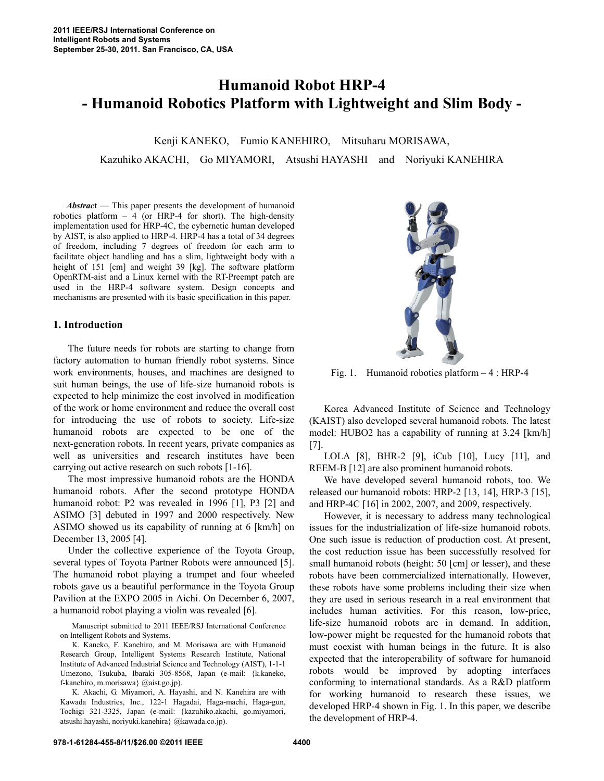# **Humanoid Robot HRP-4 - Humanoid Robotics Platform with Lightweight and Slim Body -**

Kenji KANEKO, Fumio KANEHIRO, Mitsuharu MORISAWA, Kazuhiko AKACHI, Go MIYAMORI, Atsushi HAYASHI and Noriyuki KANEHIRA

 *Abstrac*t — This paper presents the development of humanoid robotics platform  $-4$  (or HRP-4 for short). The high-density implementation used for HRP-4C, the cybernetic human developed by AIST, is also applied to HRP-4. HRP-4 has a total of 34 degrees of freedom, including 7 degrees of freedom for each arm to facilitate object handling and has a slim, lightweight body with a height of 151 [cm] and weight 39 [kg]. The software platform OpenRTM-aist and a Linux kernel with the RT-Preempt patch are used in the HRP-4 software system. Design concepts and mechanisms are presented with its basic specification in this paper.

## **1. Introduction**

 The future needs for robots are starting to change from factory automation to human friendly robot systems. Since work environments, houses, and machines are designed to suit human beings, the use of life-size humanoid robots is expected to help minimize the cost involved in modification of the work or home environment and reduce the overall cost for introducing the use of robots to society. Life-size humanoid robots are expected to be one of the next-generation robots. In recent years, private companies as well as universities and research institutes have been carrying out active research on such robots [1-16].

 The most impressive humanoid robots are the HONDA humanoid robots. After the second prototype HONDA humanoid robot: P2 was revealed in 1996 [1], P3 [2] and ASIMO [3] debuted in 1997 and 2000 respectively. New ASIMO showed us its capability of running at 6 [km/h] on December 13, 2005 [4].

 Under the collective experience of the Toyota Group, several types of Toyota Partner Robots were announced [5]. The humanoid robot playing a trumpet and four wheeled robots gave us a beautiful performance in the Toyota Group Pavilion at the EXPO 2005 in Aichi. On December 6, 2007, a humanoid robot playing a violin was revealed [6].

 Manuscript submitted to 2011 IEEE/RSJ International Conference on Intelligent Robots and Systems.

 K. Kaneko, F. Kanehiro, and M. Morisawa are with Humanoid Research Group, Intelligent Systems Research Institute, National Institute of Advanced Industrial Science and Technology (AIST), 1-1-1 Umezono, Tsukuba, Ibaraki 305-8568, Japan (e-mail: {k.kaneko, f-kanehiro, m.morisawa} @aist.go.jp).

 K. Akachi, G. Miyamori, A. Hayashi, and N. Kanehira are with Kawada Industries, Inc., 122-1 Hagadai, Haga-machi, Haga-gun, Tochigi 321-3325, Japan (e-mail: {kazuhiko.akachi, go.miyamori, atsushi.hayashi, noriyuki.kanehira} @kawada.co.jp).



Fig. 1. Humanoid robotics platform – 4 : HRP-4

 Korea Advanced Institute of Science and Technology (KAIST) also developed several humanoid robots. The latest model: HUBO2 has a capability of running at 3.24 [km/h] [7].

 LOLA [8], BHR-2 [9], iCub [10], Lucy [11], and REEM-B [12] are also prominent humanoid robots.

 We have developed several humanoid robots, too. We released our humanoid robots: HRP-2 [13, 14], HRP-3 [15], and HRP-4C [16] in 2002, 2007, and 2009, respectively.

 However, it is necessary to address many technological issues for the industrialization of life-size humanoid robots. One such issue is reduction of production cost. At present, the cost reduction issue has been successfully resolved for small humanoid robots (height: 50 [cm] or lesser), and these robots have been commercialized internationally. However, these robots have some problems including their size when they are used in serious research in a real environment that includes human activities. For this reason, low-price, life-size humanoid robots are in demand. In addition, low-power might be requested for the humanoid robots that must coexist with human beings in the future. It is also expected that the interoperability of software for humanoid robots would be improved by adopting interfaces conforming to international standards. As a R&D platform for working humanoid to research these issues, we developed HRP-4 shown in Fig. 1. In this paper, we describe the development of HRP-4.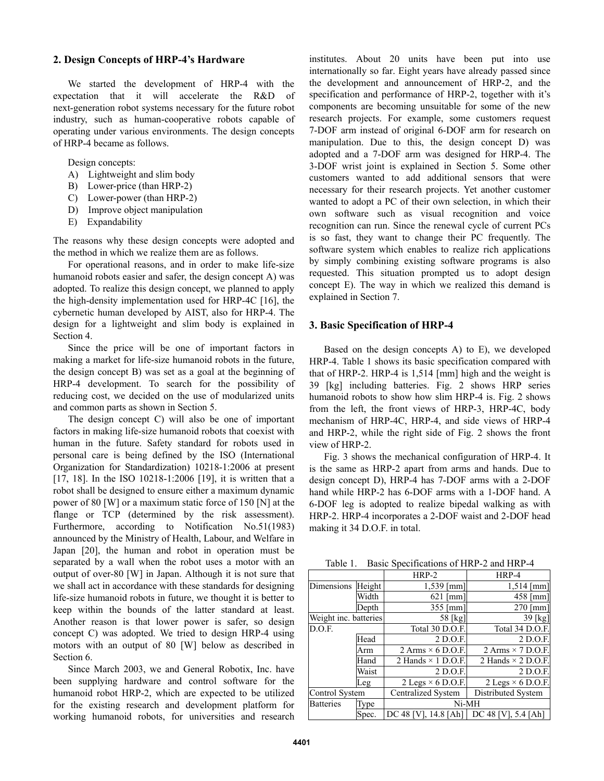## **2. Design Concepts of HRP-4's Hardware**

 We started the development of HRP-4 with the expectation that it will accelerate the R&D of next-generation robot systems necessary for the future robot industry, such as human-cooperative robots capable of operating under various environments. The design concepts of HRP-4 became as follows.

## Design concepts:

- A) Lightweight and slim body
- B) Lower-price (than HRP-2)
- C) Lower-power (than HRP-2)
- D) Improve object manipulation
- E) Expandability

The reasons why these design concepts were adopted and the method in which we realize them are as follows.

 For operational reasons, and in order to make life-size humanoid robots easier and safer, the design concept A) was adopted. To realize this design concept, we planned to apply the high-density implementation used for HRP-4C [16], the cybernetic human developed by AIST, also for HRP-4. The design for a lightweight and slim body is explained in Section 4.

 Since the price will be one of important factors in making a market for life-size humanoid robots in the future, the design concept B) was set as a goal at the beginning of HRP-4 development. To search for the possibility of reducing cost, we decided on the use of modularized units and common parts as shown in Section 5.

 The design concept C) will also be one of important factors in making life-size humanoid robots that coexist with human in the future. Safety standard for robots used in personal care is being defined by the ISO (International Organization for Standardization) 10218-1:2006 at present [17, 18]. In the ISO 10218-1:2006 [19], it is written that a robot shall be designed to ensure either a maximum dynamic power of 80 [W] or a maximum static force of 150 [N] at the flange or TCP (determined by the risk assessment). Furthermore, according to Notification No.51(1983) announced by the Ministry of Health, Labour, and Welfare in Japan [20], the human and robot in operation must be separated by a wall when the robot uses a motor with an output of over-80 [W] in Japan. Although it is not sure that we shall act in accordance with these standards for designing life-size humanoid robots in future, we thought it is better to keep within the bounds of the latter standard at least. Another reason is that lower power is safer, so design concept C) was adopted. We tried to design HRP-4 using motors with an output of 80 [W] below as described in Section 6.

 Since March 2003, we and General Robotix, Inc. have been supplying hardware and control software for the humanoid robot HRP-2, which are expected to be utilized for the existing research and development platform for working humanoid robots, for universities and research

institutes. About 20 units have been put into use internationally so far. Eight years have already passed since the development and announcement of HRP-2, and the specification and performance of HRP-2, together with it's components are becoming unsuitable for some of the new research projects. For example, some customers request 7-DOF arm instead of original 6-DOF arm for research on manipulation. Due to this, the design concept D) was adopted and a 7-DOF arm was designed for HRP-4. The 3-DOF wrist joint is explained in Section 5. Some other customers wanted to add additional sensors that were necessary for their research projects. Yet another customer wanted to adopt a PC of their own selection, in which their own software such as visual recognition and voice recognition can run. Since the renewal cycle of current PCs is so fast, they want to change their PC frequently. The software system which enables to realize rich applications by simply combining existing software programs is also requested. This situation prompted us to adopt design concept E). The way in which we realized this demand is explained in Section 7.

## **3. Basic Specification of HRP-4**

 Based on the design concepts A) to E), we developed HRP-4. Table 1 shows its basic specification compared with that of HRP-2. HRP-4 is 1,514 [mm] high and the weight is 39 [kg] including batteries. Fig. 2 shows HRP series humanoid robots to show how slim HRP-4 is. Fig. 2 shows from the left, the front views of HRP-3, HRP-4C, body mechanism of HRP-4C, HRP-4, and side views of HRP-4 and HRP-2, while the right side of Fig. 2 shows the front view of HRP-2.

 Fig. 3 shows the mechanical configuration of HRP-4. It is the same as HRP-2 apart from arms and hands. Due to design concept D), HRP-4 has 7-DOF arms with a 2-DOF hand while HRP-2 has 6-DOF arms with a 1-DOF hand. A 6-DOF leg is adopted to realize bipedal walking as with HRP-2. HRP-4 incorporates a 2-DOF waist and 2-DOF head making it 34 D.O.F. in total.

Table 1. Basic Specifications of HRP-2 and HRP-4

|                       |       | $HRP-2$                                 | HRP-4                      |  |  |  |
|-----------------------|-------|-----------------------------------------|----------------------------|--|--|--|
| Dimensions Height     |       | $1,539$ [mm]                            | $1,514$ [mm]               |  |  |  |
|                       | Width | $621$ [mm]                              | $458$ [mm]                 |  |  |  |
|                       | Depth | $355$ [mm]                              | $270$ [mm]                 |  |  |  |
| Weight inc. batteries |       | 58 [kg]                                 | 39 [kg]                    |  |  |  |
| D.O.F.                |       | Total 30 D.O.F.                         | Total 34 D.O.F.            |  |  |  |
|                       | Head  | 2 D.O.F.                                | 2 D.O.F.                   |  |  |  |
|                       | Arm   | $2 \text{Arms} \times 6 \text{ D.O.F.}$ | 2 Arms $\times$ 7 D.O.F.   |  |  |  |
|                       | Hand  | 2 Hands $\times$ 1 D.O.F.               | 2 Hands $\times$ 2 D.O.F.  |  |  |  |
|                       | Waist | 2 D.O.F.                                | 2 D.O.F.                   |  |  |  |
|                       | Leg   | $2$ Legs $\times$ 6 D.O.F.              | $2$ Legs $\times$ 6 D.O.F. |  |  |  |
| Control System        |       | Centralized System                      | Distributed System         |  |  |  |
| <b>Batteries</b>      | Type  | Ni-MH                                   |                            |  |  |  |
|                       | Spec. | DC 48 [V], 14.8 [Ah]                    | DC 48 [V], 5.4 [Ah]        |  |  |  |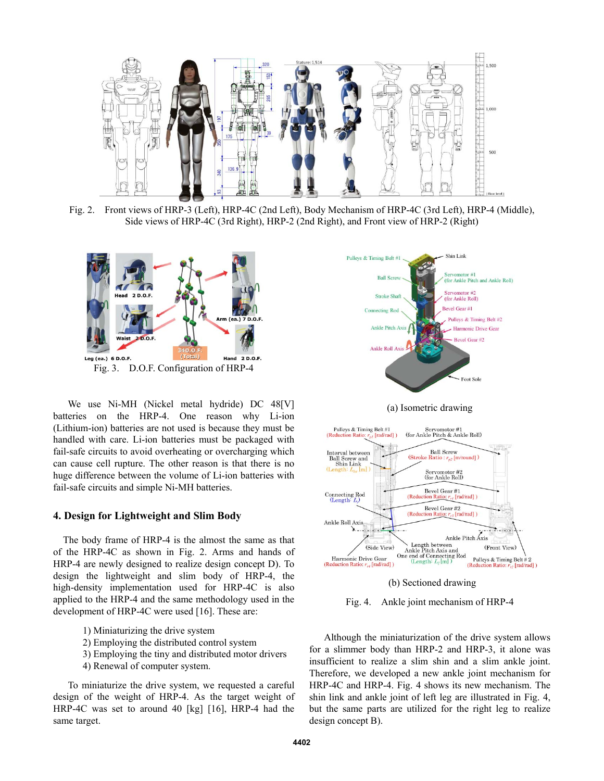

Fig. 2. Front views of HRP-3 (Left), HRP-4C (2nd Left), Body Mechanism of HRP-4C (3rd Left), HRP-4 (Middle), Side views of HRP-4C (3rd Right), HRP-2 (2nd Right), and Front view of HRP-2 (Right)



 We use Ni-MH (Nickel metal hydride) DC 48[V] batteries on the HRP-4. One reason why Li-ion (Lithium-ion) batteries are not used is because they must be handled with care. Li-ion batteries must be packaged with fail-safe circuits to avoid overheating or overcharging which can cause cell rupture. The other reason is that there is no huge difference between the volume of Li-ion batteries with fail-safe circuits and simple Ni-MH batteries.

## **4. Design for Lightweight and Slim Body**

 The body frame of HRP-4 is the almost the same as that of the HRP-4C as shown in Fig. 2. Arms and hands of HRP-4 are newly designed to realize design concept D). To design the lightweight and slim body of HRP-4, the high-density implementation used for HRP-4C is also applied to the HRP-4 and the same methodology used in the development of HRP-4C were used [16]. These are:

- 1) Miniaturizing the drive system
- 2) Employing the distributed control system
- 3) Employing the tiny and distributed motor drivers
- 4) Renewal of computer system.

 To miniaturize the drive system, we requested a careful design of the weight of HRP-4. As the target weight of HRP-4C was set to around 40 [kg] [16], HRP-4 had the same target.



(a) Isometric drawing



(b) Sectioned drawing



 Although the miniaturization of the drive system allows for a slimmer body than HRP-2 and HRP-3, it alone was insufficient to realize a slim shin and a slim ankle joint. Therefore, we developed a new ankle joint mechanism for HRP-4C and HRP-4. Fig. 4 shows its new mechanism. The shin link and ankle joint of left leg are illustrated in Fig. 4, but the same parts are utilized for the right leg to realize design concept B).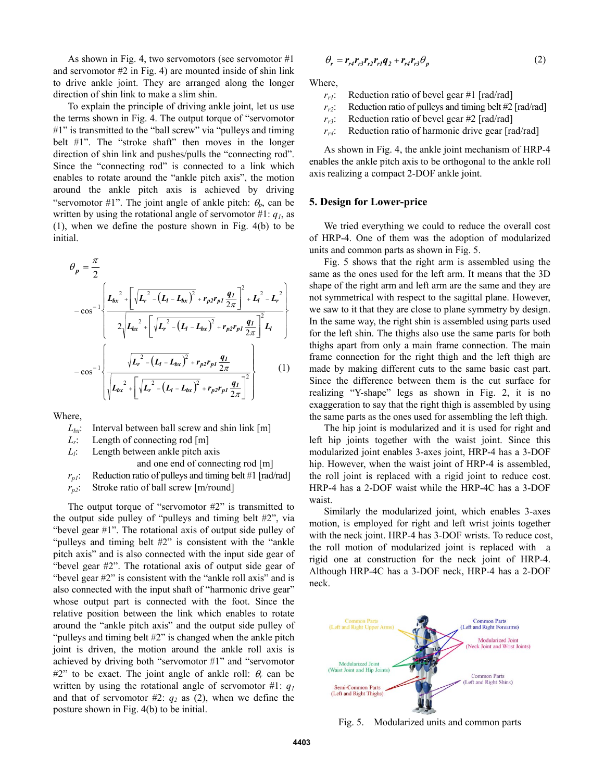As shown in Fig. 4, two servomotors (see servomotor #1 and servomotor #2 in Fig. 4) are mounted inside of shin link to drive ankle joint. They are arranged along the longer direction of shin link to make a slim shin.

 To explain the principle of driving ankle joint, let us use the terms shown in Fig. 4. The output torque of "servomotor #1" is transmitted to the "ball screw" via "pulleys and timing belt #1". The "stroke shaft" then moves in the longer direction of shin link and pushes/pulls the "connecting rod". Since the "connecting rod" is connected to a link which enables to rotate around the "ankle pitch axis", the motion around the ankle pitch axis is achieved by driving "servomotor #1". The joint angle of ankle pitch:  $\theta_p$ , can be written by using the rotational angle of servomotor #1: *q1*, as (1), when we define the posture shown in Fig. 4(b) to be initial.

$$
\theta_{p} = \frac{\pi}{2}
$$
\n
$$
- \cos^{-1}\left\{\frac{L_{bx}^{2} + \left[\sqrt{L_{r}^{2} - (L_{l} - L_{bx})^{2}} + r_{p2}r_{p1}\frac{q_{L}}{2\pi}\right]^{2} + L_{l}^{2} - L_{r}^{2}}{2\sqrt{L_{bx}^{2} + \left[\sqrt{L_{r}^{2} - (L_{l} - L_{bx})^{2}} + r_{p2}r_{p1}\frac{q_{L}}{2\pi}\right]^{2}}L_{l}}\right\}
$$
\n
$$
- \cos^{-1}\left\{\frac{\sqrt{L_{r}^{2} - (L_{l} - L_{bx})^{2}} + r_{p2}r_{p1}\frac{q_{L}}{2\pi}}{\sqrt{L_{bx}^{2} + \left[\sqrt{L_{r}^{2} - (L_{l} - L_{bx})^{2}} + r_{p2}r_{p1}\frac{q_{L}}{2\pi}\right]^{2}}}\right\}
$$
\n(1)

Where,

 $L_{bx}$ : Interval between ball screw and shin link  $[m]$ 

*L<sub>r</sub>*: Length of connecting rod [m]

*L<sub>i</sub>*: Length between ankle pitch axis

and one end of connecting rod [m]

 $r_{p1}$ : Reduction ratio of pulleys and timing belt #1 [rad/rad]

*rp2*: Stroke ratio of ball screw [m/round]

 The output torque of "servomotor #2" is transmitted to the output side pulley of "pulleys and timing belt #2", via "bevel gear #1". The rotational axis of output side pulley of "pulleys and timing belt #2" is consistent with the "ankle pitch axis" and is also connected with the input side gear of "bevel gear #2". The rotational axis of output side gear of "bevel gear #2" is consistent with the "ankle roll axis" and is also connected with the input shaft of "harmonic drive gear" whose output part is connected with the foot. Since the relative position between the link which enables to rotate around the "ankle pitch axis" and the output side pulley of "pulleys and timing belt #2" is changed when the ankle pitch joint is driven, the motion around the ankle roll axis is achieved by driving both "servomotor #1" and "servomotor  $#2"$  to be exact. The joint angle of ankle roll:  $\theta_r$  can be written by using the rotational angle of servomotor #1: *q1* and that of servomotor  $#2$ :  $q_2$  as (2), when we define the posture shown in Fig. 4(b) to be initial.

$$
\theta_r = r_{r4}r_{r3}r_{r2}r_{r1}q_2 + r_{r4}r_{r3}\theta_p \tag{2}
$$

Where,

 $r_{rl}$ : Reduction ratio of bevel gear #1 [rad/rad]

 $r_{r2}$ : Reduction ratio of pulleys and timing belt #2 [rad/rad]

 $r_{r3}$ : Reduction ratio of bevel gear #2 [rad/rad]

*rr4*: Reduction ratio of harmonic drive gear [rad/rad]

 As shown in Fig. 4, the ankle joint mechanism of HRP-4 enables the ankle pitch axis to be orthogonal to the ankle roll axis realizing a compact 2-DOF ankle joint.

#### **5. Design for Lower-price**

 We tried everything we could to reduce the overall cost of HRP-4. One of them was the adoption of modularized units and common parts as shown in Fig. 5.

 Fig. 5 shows that the right arm is assembled using the same as the ones used for the left arm. It means that the 3D shape of the right arm and left arm are the same and they are not symmetrical with respect to the sagittal plane. However, we saw to it that they are close to plane symmetry by design. In the same way, the right shin is assembled using parts used for the left shin. The thighs also use the same parts for both thighs apart from only a main frame connection. The main frame connection for the right thigh and the left thigh are made by making different cuts to the same basic cast part. Since the difference between them is the cut surface for realizing "Y-shape" legs as shown in Fig. 2, it is no exaggeration to say that the right thigh is assembled by using the same parts as the ones used for assembling the left thigh.

 The hip joint is modularized and it is used for right and left hip joints together with the waist joint. Since this modularized joint enables 3-axes joint, HRP-4 has a 3-DOF hip. However, when the waist joint of HRP-4 is assembled, the roll joint is replaced with a rigid joint to reduce cost. HRP-4 has a 2-DOF waist while the HRP-4C has a 3-DOF waist.

 Similarly the modularized joint, which enables 3-axes motion, is employed for right and left wrist joints together with the neck joint. HRP-4 has 3-DOF wrists. To reduce cost, the roll motion of modularized joint is replaced with a rigid one at construction for the neck joint of HRP-4. Although HRP-4C has a 3-DOF neck, HRP-4 has a 2-DOF neck.



Fig. 5. Modularized units and common parts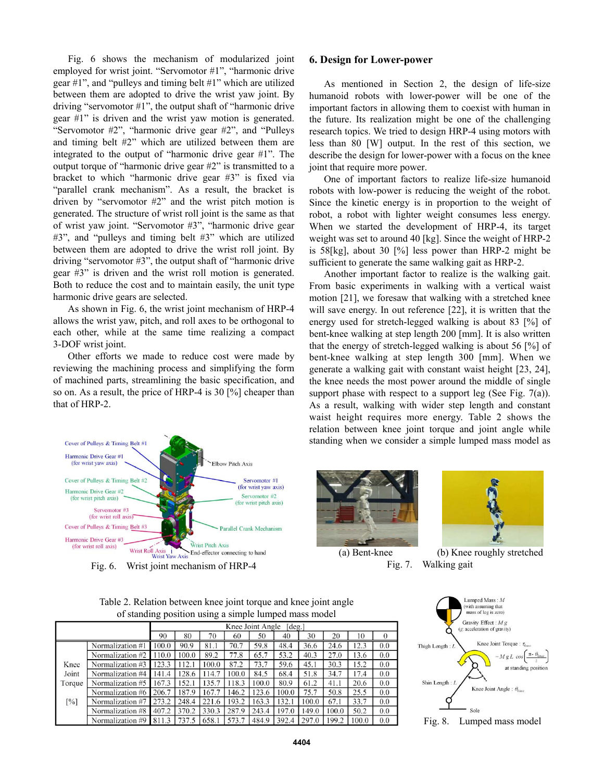Fig. 6 shows the mechanism of modularized joint employed for wrist joint. "Servomotor #1", "harmonic drive gear #1", and "pulleys and timing belt #1" which are utilized between them are adopted to drive the wrist yaw joint. By driving "servomotor #1", the output shaft of "harmonic drive gear #1" is driven and the wrist yaw motion is generated. "Servomotor #2", "harmonic drive gear #2", and "Pulleys and timing belt #2" which are utilized between them are integrated to the output of "harmonic drive gear #1". The output torque of "harmonic drive gear #2" is transmitted to a bracket to which "harmonic drive gear #3" is fixed via "parallel crank mechanism". As a result, the bracket is driven by "servomotor #2" and the wrist pitch motion is generated. The structure of wrist roll joint is the same as that of wrist yaw joint. "Servomotor #3", "harmonic drive gear #3", and "pulleys and timing belt #3" which are utilized between them are adopted to drive the wrist roll joint. By driving "servomotor #3", the output shaft of "harmonic drive gear #3" is driven and the wrist roll motion is generated. Both to reduce the cost and to maintain easily, the unit type harmonic drive gears are selected.

 As shown in Fig. 6, the wrist joint mechanism of HRP-4 allows the wrist yaw, pitch, and roll axes to be orthogonal to each other, while at the same time realizing a compact 3-DOF wrist joint.

 Other efforts we made to reduce cost were made by reviewing the machining process and simplifying the form of machined parts, streamlining the basic specification, and so on. As a result, the price of HRP-4 is 30 [%] cheaper than that of HRP-2.

## **6. Design for Lower-power**

 As mentioned in Section 2, the design of life-size humanoid robots with lower-power will be one of the important factors in allowing them to coexist with human in the future. Its realization might be one of the challenging research topics. We tried to design HRP-4 using motors with less than 80 [W] output. In the rest of this section, we describe the design for lower-power with a focus on the knee joint that require more power.

 One of important factors to realize life-size humanoid robots with low-power is reducing the weight of the robot. Since the kinetic energy is in proportion to the weight of robot, a robot with lighter weight consumes less energy. When we started the development of HRP-4, its target weight was set to around 40 [kg]. Since the weight of HRP-2 is 58[kg], about 30 [%] less power than HRP-2 might be sufficient to generate the same walking gait as HRP-2.

 Another important factor to realize is the walking gait. From basic experiments in walking with a vertical waist motion [21], we foresaw that walking with a stretched knee will save energy. In out reference [22], it is written that the energy used for stretch-legged walking is about 83 [%] of bent-knee walking at step length 200 [mm]. It is also written that the energy of stretch-legged walking is about 56 [%] of bent-knee walking at step length 300 [mm]. When we generate a walking gait with constant waist height [23, 24], the knee needs the most power around the middle of single support phase with respect to a support leg (See Fig.  $7(a)$ ). As a result, walking with wider step length and constant waist height requires more energy. Table 2 shows the relation between knee joint torque and joint angle while standing when we consider a simple lumped mass model as



Fig. 6. Wrist joint mechanism of HRP-4



 (a) Bent-knee (b) Knee roughly stretched Fig. 7. Walking gait

| Table 2. Relation between knee joint torque and knee joint angle |
|------------------------------------------------------------------|
| of standing position using a simple lumped mass model            |

|                   |                  | Knee Joint Angle<br>$\lceil \text{deg.} \rceil$ |       |       |       |       |       |       |       |       |          |
|-------------------|------------------|-------------------------------------------------|-------|-------|-------|-------|-------|-------|-------|-------|----------|
|                   |                  | 90                                              | 80    | 70    | 60    | 50    | 40    | 30    | 20    | 10    | $\Omega$ |
|                   | Normalization #1 | 0.001                                           | 90.9  | 81.1  | 70.7  | 59.8  | 48.4  | 36.6  | 24.6  | 12.3  | 0.0      |
|                   | Normalization #2 | 110.0                                           | 100.0 | 89.2  | 77.8  | 65.7  | 53.2  | 40.3  | 27.0  | 13.6  | 0.0      |
| Knee              | Normalization #3 | 123.3                                           | 112.1 | 100.0 | 87.2  | 73.7  | 59.6  | 45.1  | 30.3  | 15.2  | 0.0      |
| Joint             | Normalization #4 | 141.4                                           | 128.6 | 114.7 | 100.0 | 84.5  | 68.4  | 51.8  | 34.7  | 17.4  | 0.0      |
| Torque            | Normalization #5 | 67.3                                            | 152.1 | 135.7 | 118.3 | 100.0 | 80.9  | 61.2  | 41.1  | 20.6  | 0.0      |
|                   | Normalization #6 | 206.7                                           | 187.9 | 167.7 | 146.2 | 123.6 | 100.0 | 75.7  | 50.8  | 25.5  | 0.0      |
| $\lceil\% \rceil$ | Normalization #7 | 273.2                                           | 248.4 | 221.6 | 193.2 | 163.3 | 132.1 | 100.0 | 67.1  | 33.7  | 0.0      |
|                   | Normalization #8 | 407.2                                           | 370.2 | 330.3 | 287.9 | 243.4 | 197.0 | 149.0 | 100.0 | 50.2  | 0.0      |
|                   | Normalization #9 | 811.3                                           | 737.5 | 658.1 | 573.7 | 484.9 | 392.4 | 297.0 | 199.2 | 100.0 | 0.0      |

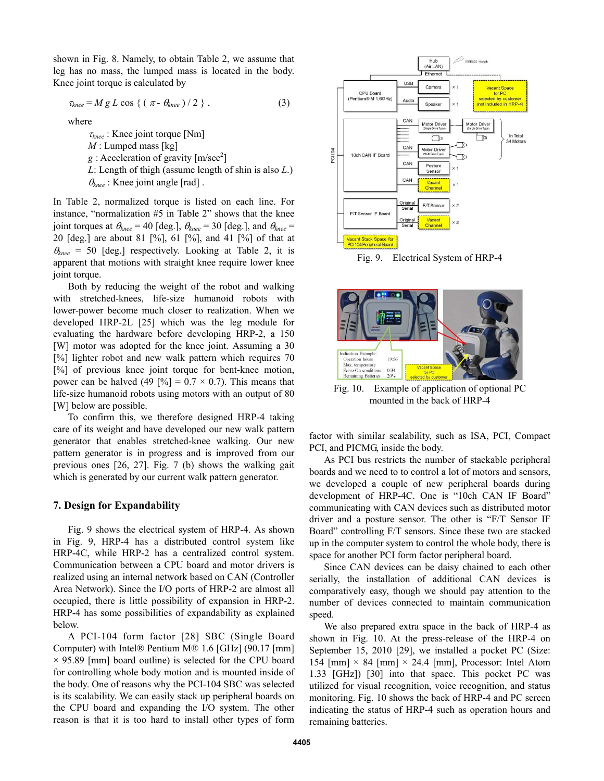shown in Fig. 8. Namely, to obtain Table 2, we assume that leg has no mass, the lumped mass is located in the body. Knee joint torque is calculated by

$$
\tau_{knee} = Mg L \cos \{ (\pi - \theta_{knee})/2 \}, \qquad (3)
$$

where

 $\tau_{knee}$ : Knee joint torque [Nm] *M* : Lumped mass [kg]  $g:$  Acceleration of gravity  $[m/sec^2]$ *L*: Length of thigh (assume length of shin is also *L*.)  $\theta_{\text{knee}}$ : Knee joint angle [rad].

In Table 2, normalized torque is listed on each line. For instance, "normalization #5 in Table 2" shows that the knee joint torques at  $\theta_{\text{knee}} = 40$  [deg.],  $\theta_{\text{knee}} = 30$  [deg.], and  $\theta_{\text{knee}} =$ 20 [deg.] are about 81 [%], 61 [%], and 41 [%] of that at  $\theta_{\text{knee}}$  = 50 [deg.] respectively. Looking at Table 2, it is apparent that motions with straight knee require lower knee joint torque.

 Both by reducing the weight of the robot and walking with stretched-knees, life-size humanoid robots with lower-power become much closer to realization. When we developed HRP-2L [25] which was the leg module for evaluating the hardware before developing HRP-2, a 150 [W] motor was adopted for the knee joint. Assuming a 30 [%] lighter robot and new walk pattern which requires 70 [%] of previous knee joint torque for bent-knee motion, power can be halved (49  $[\%] = 0.7 \times 0.7$ ). This means that life-size humanoid robots using motors with an output of 80 [W] below are possible.

 To confirm this, we therefore designed HRP-4 taking care of its weight and have developed our new walk pattern generator that enables stretched-knee walking. Our new pattern generator is in progress and is improved from our previous ones [26, 27]. Fig. 7 (b) shows the walking gait which is generated by our current walk pattern generator.

## **7. Design for Expandability**

 Fig. 9 shows the electrical system of HRP-4. As shown in Fig. 9, HRP-4 has a distributed control system like HRP-4C, while HRP-2 has a centralized control system. Communication between a CPU board and motor drivers is realized using an internal network based on CAN (Controller Area Network). Since the I/O ports of HRP-2 are almost all occupied, there is little possibility of expansion in HRP-2. HRP-4 has some possibilities of expandability as explained below.

 A PCI-104 form factor [28] SBC (Single Board Computer) with Intel® Pentium M® 1.6 [GHz] (90.17 [mm]  $\times$  95.89 [mm] board outline) is selected for the CPU board for controlling whole body motion and is mounted inside of the body. One of reasons why the PCI-104 SBC was selected is its scalability. We can easily stack up peripheral boards on the CPU board and expanding the I/O system. The other reason is that it is too hard to install other types of form



Fig. 9. Electrical System of HRP-4



Fig. 10. Example of application of optional PC mounted in the back of HRP-4

factor with similar scalability, such as ISA, PCI, Compact PCI, and PICMG, inside the body.

 As PCI bus restricts the number of stackable peripheral boards and we need to to control a lot of motors and sensors, we developed a couple of new peripheral boards during development of HRP-4C. One is "10ch CAN IF Board" communicating with CAN devices such as distributed motor driver and a posture sensor. The other is "F/T Sensor IF Board" controlling F/T sensors. Since these two are stacked up in the computer system to control the whole body, there is space for another PCI form factor peripheral board.

 Since CAN devices can be daisy chained to each other serially, the installation of additional CAN devices is comparatively easy, though we should pay attention to the number of devices connected to maintain communication speed.

 We also prepared extra space in the back of HRP-4 as shown in Fig. 10. At the press-release of the HRP-4 on September 15, 2010 [29], we installed a pocket PC (Size: 154  ${\rm [mm]} \times 84$   ${\rm [mm]} \times 24.4$   ${\rm [mm]}$ , Processor: Intel Atom 1.33 [GHz]) [30] into that space. This pocket PC was utilized for visual recognition, voice recognition, and status monitoring. Fig. 10 shows the back of HRP-4 and PC screen indicating the status of HRP-4 such as operation hours and remaining batteries.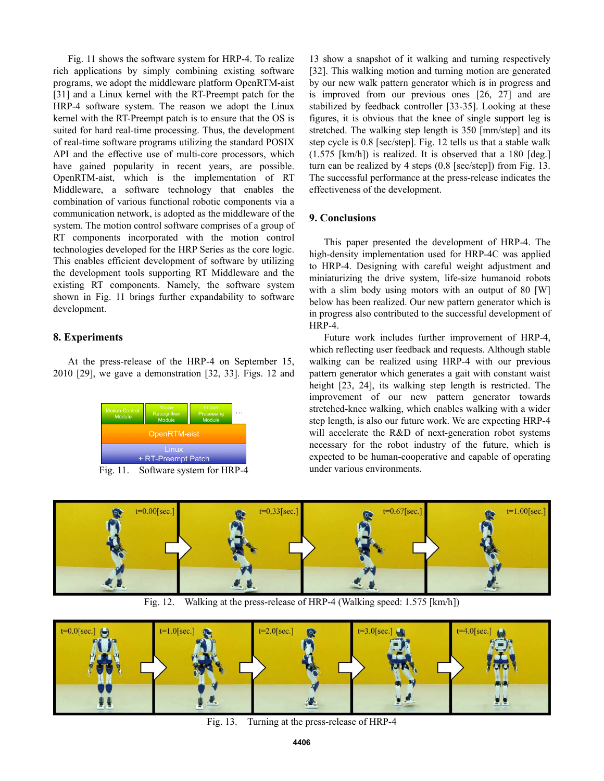Fig. 11 shows the software system for HRP-4. To realize rich applications by simply combining existing software programs, we adopt the middleware platform OpenRTM-aist [31] and a Linux kernel with the RT-Preempt patch for the HRP-4 software system. The reason we adopt the Linux kernel with the RT-Preempt patch is to ensure that the OS is suited for hard real-time processing. Thus, the development of real-time software programs utilizing the standard POSIX API and the effective use of multi-core processors, which have gained popularity in recent years, are possible. OpenRTM-aist, which is the implementation of RT Middleware, a software technology that enables the combination of various functional robotic components via a communication network, is adopted as the middleware of the system. The motion control software comprises of a group of RT components incorporated with the motion control technologies developed for the HRP Series as the core logic. This enables efficient development of software by utilizing the development tools supporting RT Middleware and the existing RT components. Namely, the software system shown in Fig. 11 brings further expandability to software development.

## **8. Experiments**

 At the press-release of the HRP-4 on September 15, 2010 [29], we gave a demonstration [32, 33]. Figs. 12 and



Fig. 11. Software system for HRP-4

13 show a snapshot of it walking and turning respectively [32]. This walking motion and turning motion are generated by our new walk pattern generator which is in progress and is improved from our previous ones [26, 27] and are stabilized by feedback controller [33-35]. Looking at these figures, it is obvious that the knee of single support leg is stretched. The walking step length is 350 [mm/step] and its step cycle is 0.8 [sec/step]. Fig. 12 tells us that a stable walk (1.575 [km/h]) is realized. It is observed that a 180 [deg.] turn can be realized by 4 steps (0.8 [sec/step]) from Fig. 13. The successful performance at the press-release indicates the effectiveness of the development.

## **9. Conclusions**

 This paper presented the development of HRP-4. The high-density implementation used for HRP-4C was applied to HRP-4. Designing with careful weight adjustment and miniaturizing the drive system, life-size humanoid robots with a slim body using motors with an output of 80 [W] below has been realized. Our new pattern generator which is in progress also contributed to the successful development of HRP-4.

 Future work includes further improvement of HRP-4, which reflecting user feedback and requests. Although stable walking can be realized using HRP-4 with our previous pattern generator which generates a gait with constant waist height [23, 24], its walking step length is restricted. The improvement of our new pattern generator towards stretched-knee walking, which enables walking with a wider step length, is also our future work. We are expecting HRP-4 will accelerate the R&D of next-generation robot systems necessary for the robot industry of the future, which is expected to be human-cooperative and capable of operating under various environments.



Fig. 12. Walking at the press-release of HRP-4 (Walking speed: 1.575 [km/h])



Fig. 13. Turning at the press-release of HRP-4